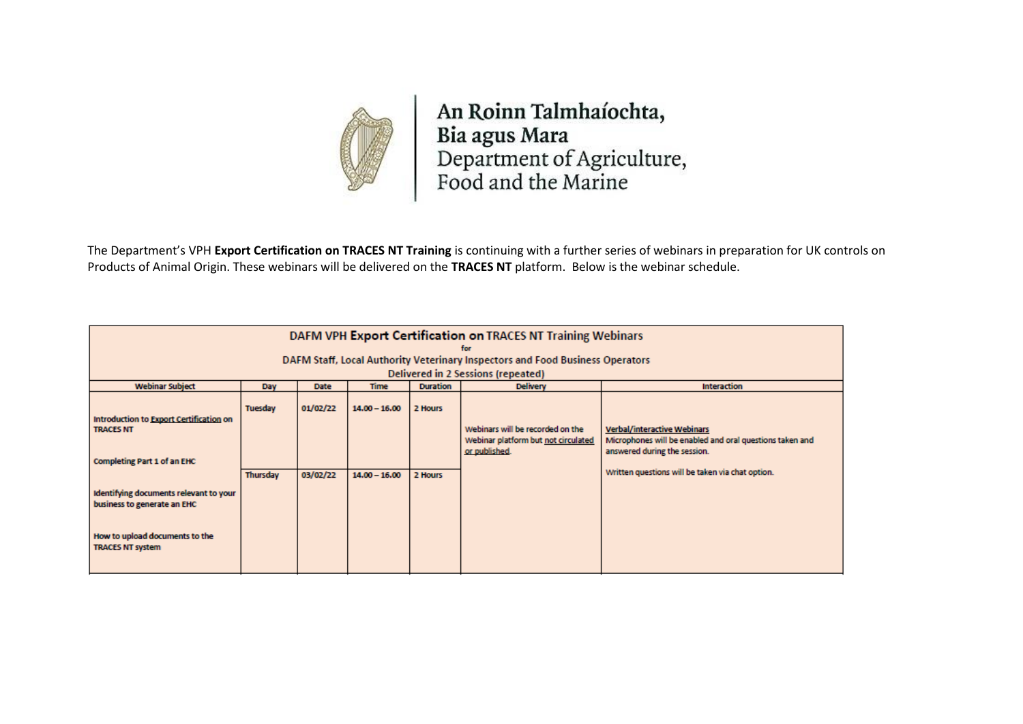

An Roinn Talmhaíochta, Bia agus Mara<br>Department of Agriculture,<br>Food and the Marine

The Department's VPH **Export Certification on TRACES NT Training** is continuing with a further series of webinars in preparation for UK controls on Products of Animal Origin. These webinars will be delivered on the **TRACES NT** platform. Below is the webinar schedule.

| DAFM VPH Export Certification on TRACES NT Training Webinars                  |          |             |                 |                 |                                                      |                                                                                                                                |
|-------------------------------------------------------------------------------|----------|-------------|-----------------|-----------------|------------------------------------------------------|--------------------------------------------------------------------------------------------------------------------------------|
| DAFM Staff, Local Authority Veterinary Inspectors and Food Business Operators |          |             |                 |                 |                                                      |                                                                                                                                |
| Delivered in 2 Sessions (repeated)                                            |          |             |                 |                 |                                                      |                                                                                                                                |
| <b>Webinar Subject</b>                                                        | Day      | <b>Date</b> | <b>Time</b>     | <b>Duration</b> | <b>Delivery</b>                                      | <b>Interaction</b>                                                                                                             |
| Introduction to Export Certification on                                       | Tuesday  | 01/02/22    | $14.00 - 16.00$ | 2 Hours         | Webinars will be recorded on the                     |                                                                                                                                |
| <b>TRACES NT</b>                                                              |          |             |                 |                 | Webinar platform but not circulated<br>or published. | <b>Verbal/interactive Webinars</b><br>Microphones will be enabled and oral questions taken and<br>answered during the session. |
| <b>Completing Part 1 of an EHC</b>                                            | Thursday | 03/02/22    | $14.00 - 16.00$ | 2 Hours         |                                                      | Written questions will be taken via chat option.                                                                               |
| Identifying documents relevant to your<br>business to generate an EHC         |          |             |                 |                 |                                                      |                                                                                                                                |
| How to upload documents to the<br><b>TRACES NT system</b>                     |          |             |                 |                 |                                                      |                                                                                                                                |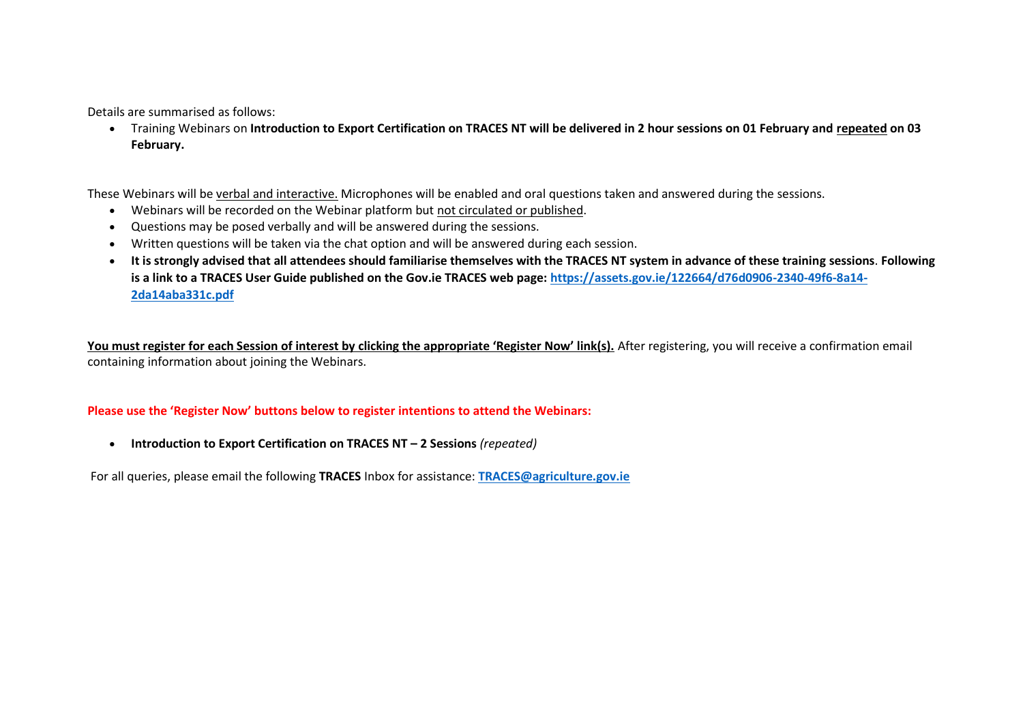Details are summarised as follows:

• Training Webinars on **Introduction to Export Certification on TRACES NT will be delivered in 2 hour sessions on 01 February and repeated on 03 February.**

These Webinars will be verbal and interactive. Microphones will be enabled and oral questions taken and answered during the sessions.

- Webinars will be recorded on the Webinar platform but not circulated or published.
- Questions may be posed verbally and will be answered during the sessions.
- Written questions will be taken via the chat option and will be answered during each session.
- **It is strongly advised that all attendees should familiarise themselves with the TRACES NT system in advance of these training sessions**. **Following is a link to a TRACES User Guide published on the Gov.ie TRACES web page: [https://assets.gov.ie/122664/d76d0906-2340-49f6-8a14-](https://assets.gov.ie/122664/d76d0906-2340-49f6-8a14-2da14aba331c.pdf) [2da14aba331c.pdf](https://assets.gov.ie/122664/d76d0906-2340-49f6-8a14-2da14aba331c.pdf)**

**You must register for each Session of interest by clicking the appropriate 'Register Now' link(s).** After registering, you will receive a confirmation email containing information about joining the Webinars.

## **Please use the 'Register Now' buttons below to register intentions to attend the Webinars:**

• **Introduction to Export Certification on TRACES NT – 2 Sessions** *(repeated)*

For all queries, please email the following **TRACES** Inbox for assistance: **[TRACES@agriculture.gov.ie](mailto:TRACES@agriculture.gov.ie)**